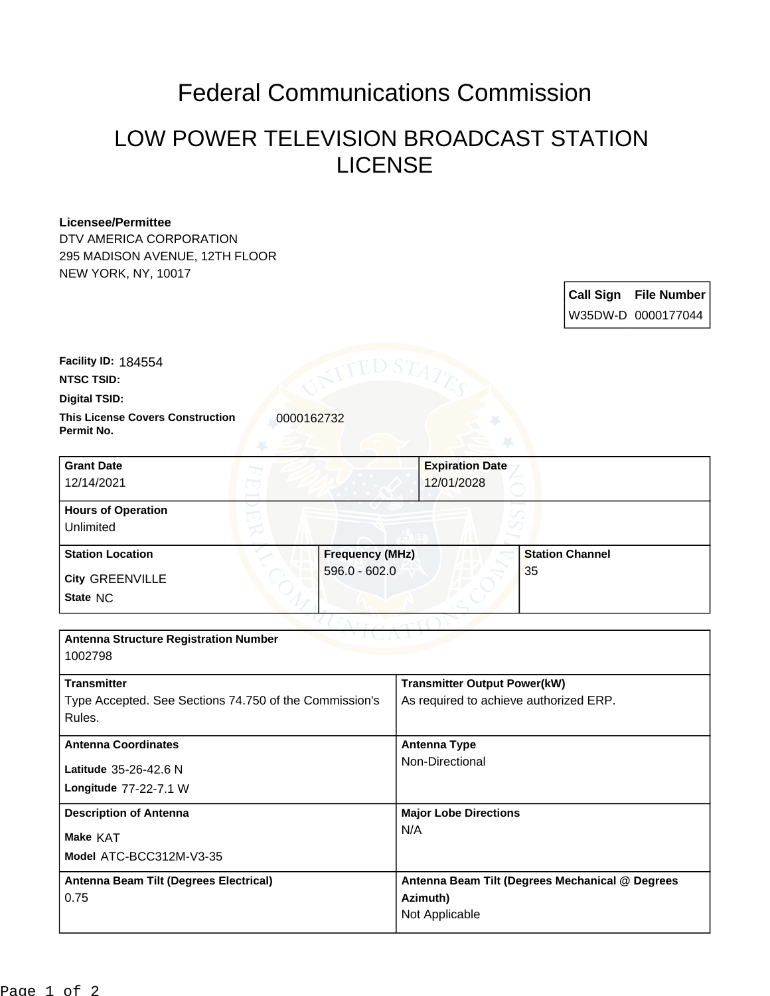## Federal Communications Commission

## LOW POWER TELEVISION BROADCAST STATION LICENSE

## **Licensee/Permittee**

DTV AMERICA CORPORATION 295 MADISON AVENUE, 12TH FLOOR NEW YORK, NY, 10017

> **Call Sign File Number** W35DW-D 0000177044

**Facility ID:** 184554

**NTSC TSID:**

**Digital TSID:**

**This License Covers Construction**  0000162732 **Permit No.**

**State** NC **City** GREENVILLE **Grant Date** 12/14/2021 **Expiration Date** 12/01/2028 **Hours of Operation** Unlimited **Station Location Frequency (MHz)** 596.0 - 602.0 **Station Channel** 35

| <b>Antenna Structure Registration Number</b><br>1002798                                |                                                                               |
|----------------------------------------------------------------------------------------|-------------------------------------------------------------------------------|
| <b>Transmitter</b><br>Type Accepted. See Sections 74.750 of the Commission's<br>Rules. | <b>Transmitter Output Power(kW)</b><br>As required to achieve authorized ERP. |
| <b>Antenna Coordinates</b><br>Latitude 35-26-42.6 N<br>Longitude 77-22-7.1 W           | Antenna Type<br>Non-Directional                                               |
| <b>Description of Antenna</b><br>Make KAT<br>Model ATC-BCC312M-V3-35                   | <b>Major Lobe Directions</b><br>N/A                                           |
| Antenna Beam Tilt (Degrees Electrical)<br>0.75                                         | Antenna Beam Tilt (Degrees Mechanical @ Degrees<br>Azimuth)<br>Not Applicable |